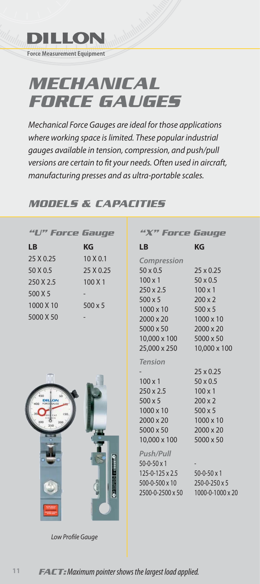

## *MECHANICAL FORCE GAUGES*

Mechanical Force Gauges are ideal for those applications where working space is limited. These popular industrial gauges available in tension, compression, and push/pull versions are certain to fit your needs. Often used in aircraft, manufacturing presses and as ultra-portable scales.

## *MODELS & CAPACITIES*

| <b>Force Gauge</b>                                                      |                                                    | <b>Force Gauge</b>                                                                                                                                                                                                                                     |                                                                                                                                                                                                            |
|-------------------------------------------------------------------------|----------------------------------------------------|--------------------------------------------------------------------------------------------------------------------------------------------------------------------------------------------------------------------------------------------------------|------------------------------------------------------------------------------------------------------------------------------------------------------------------------------------------------------------|
| <b>LB</b>                                                               | <b>KG</b>                                          | <b>LB</b>                                                                                                                                                                                                                                              | <b>KG</b>                                                                                                                                                                                                  |
| 25 X 0.25<br>50 X 0.5<br>250 X 2.5<br>500 X 5<br>1000 X 10<br>5000 X 50 | 10 X 0.1<br>25 X 0.25<br>100 X 1<br>$500 \times 5$ | Compression<br>$50 \times 0.5$<br>$100 \times 1$<br>$250 \times 2.5$<br>$500 \times 5$<br>$1000 \times 10$<br>$2000 \times 20$<br>5000 x 50<br>10,000 x 100<br>25,000 x 250                                                                            | $25 \times 0.25$<br>$50 \times 0.5$<br>$100 \times 1$<br>$200 \times 2$<br>$500 \times 5$<br>1000 x 10<br>2000 x 20<br>5000 x 50<br>10,000 x 100                                                           |
|                                                                         |                                                    | <b>Tension</b><br>$100 \times 1$<br>250 x 2.5<br>$500 \times 5$<br>$1000 \times 10$<br>$2000 \times 20$<br>$5000 \times 50$<br>10,000 x 100<br>Push/Pull<br>$50 - 0 - 50 \times 1$<br>$125 - 0 - 125 \times 2.5$<br>500-0-500 x 10<br>2500-0-2500 x 50 | $25 \times 0.25$<br>$50 \times 0.5$<br>$100 \times 1$<br>$200 \times 2$<br>$500 \times 5$<br>1000 x 10<br>2000 x 20<br>5000 x 50<br>$50 - 0 - 50 \times 1$<br>$250 - 0 - 250 \times 5$<br>1000-0-1000 x 20 |

Low Profile Gauge

**11**